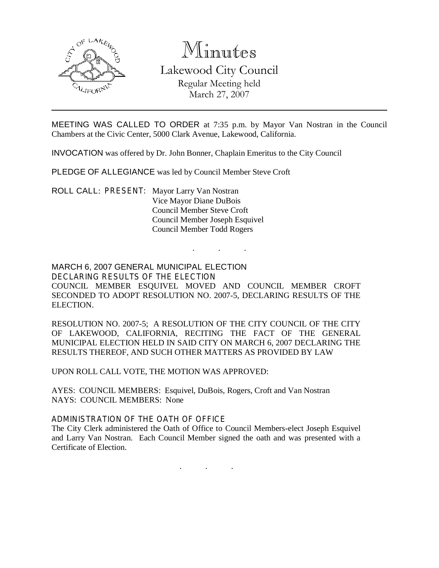

# Minutes

Lakewood City Council Regular Meeting held March 27, 2007

MEETING WAS CALLED TO ORDER at 7:35 p.m. by Mayor Van Nostran in the Council Chambers at the Civic Center, 5000 Clark Avenue, Lakewood, California.

INVOCATION was offered by Dr. John Bonner, Chaplain Emeritus to the City Council

PLEDGE OF ALLEGIANCE was led by Council Member Steve Croft

ROLL CALL: PRESENT: Mayor Larry Van Nostran Vice Mayor Diane DuBois Council Member Steve Croft Council Member Joseph Esquivel Council Member Todd Rogers

MARCH 6, 2007 GENERAL MUNICIPAL ELECTION DECLARING RESULTS OF THE ELECTION COUNCIL MEMBER ESQUIVEL MOVED AND COUNCIL MEMBER CROFT SECONDED TO ADOPT RESOLUTION NO. 2007-5, DECLARING RESULTS OF THE ELECTION.

. . .

RESOLUTION NO. 2007-5; A RESOLUTION OF THE CITY COUNCIL OF THE CITY OF LAKEWOOD, CALIFORNIA, RECITING THE FACT OF THE GENERAL MUNICIPAL ELECTION HELD IN SAID CITY ON MARCH 6, 2007 DECLARING THE RESULTS THEREOF, AND SUCH OTHER MATTERS AS PROVIDED BY LAW

UPON ROLL CALL VOTE, THE MOTION WAS APPROVED:

AYES: COUNCIL MEMBERS: Esquivel, DuBois, Rogers, Croft and Van Nostran NAYS: COUNCIL MEMBERS: None

ADMINISTRATION OF THE OATH OF OFFICE

The City Clerk administered the Oath of Office to Council Members-elect Joseph Esquivel and Larry Van Nostran. Each Council Member signed the oath and was presented with a Certificate of Election.

. . .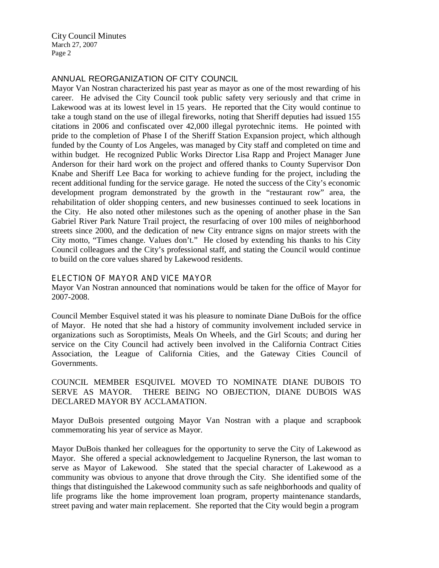City Council Minutes March 27, 2007 Page 2

### ANNUAL REORGANIZATION OF CITY COUNCIL

Mayor Van Nostran characterized his past year as mayor as one of the most rewarding of his career. He advised the City Council took public safety very seriously and that crime in Lakewood was at its lowest level in 15 years. He reported that the City would continue to take a tough stand on the use of illegal fireworks, noting that Sheriff deputies had issued 155 citations in 2006 and confiscated over 42,000 illegal pyrotechnic items. He pointed with pride to the completion of Phase I of the Sheriff Station Expansion project, which although funded by the County of Los Angeles, was managed by City staff and completed on time and within budget. He recognized Public Works Director Lisa Rapp and Project Manager June Anderson for their hard work on the project and offered thanks to County Supervisor Don Knabe and Sheriff Lee Baca for working to achieve funding for the project, including the recent additional funding for the service garage. He noted the success of the City's economic development program demonstrated by the growth in the "restaurant row" area, the rehabilitation of older shopping centers, and new businesses continued to seek locations in the City. He also noted other milestones such as the opening of another phase in the San Gabriel River Park Nature Trail project, the resurfacing of over 100 miles of neighborhood streets since 2000, and the dedication of new City entrance signs on major streets with the City motto, "Times change. Values don't." He closed by extending his thanks to his City Council colleagues and the City's professional staff, and stating the Council would continue to build on the core values shared by Lakewood residents.

#### ELECTION OF MAYOR AND VICE MAYOR

Mayor Van Nostran announced that nominations would be taken for the office of Mayor for 2007-2008.

Council Member Esquivel stated it was his pleasure to nominate Diane DuBois for the office of Mayor. He noted that she had a history of community involvement included service in organizations such as Soroptimists, Meals On Wheels, and the Girl Scouts; and during her service on the City Council had actively been involved in the California Contract Cities Association, the League of California Cities, and the Gateway Cities Council of Governments.

COUNCIL MEMBER ESQUIVEL MOVED TO NOMINATE DIANE DUBOIS TO SERVE AS MAYOR. THERE BEING NO OBJECTION, DIANE DUBOIS WAS DECLARED MAYOR BY ACCLAMATION.

Mayor DuBois presented outgoing Mayor Van Nostran with a plaque and scrapbook commemorating his year of service as Mayor.

Mayor DuBois thanked her colleagues for the opportunity to serve the City of Lakewood as Mayor. She offered a special acknowledgement to Jacqueline Rynerson, the last woman to serve as Mayor of Lakewood. She stated that the special character of Lakewood as a community was obvious to anyone that drove through the City. She identified some of the things that distinguished the Lakewood community such as safe neighborhoods and quality of life programs like the home improvement loan program, property maintenance standards, street paving and water main replacement. She reported that the City would begin a program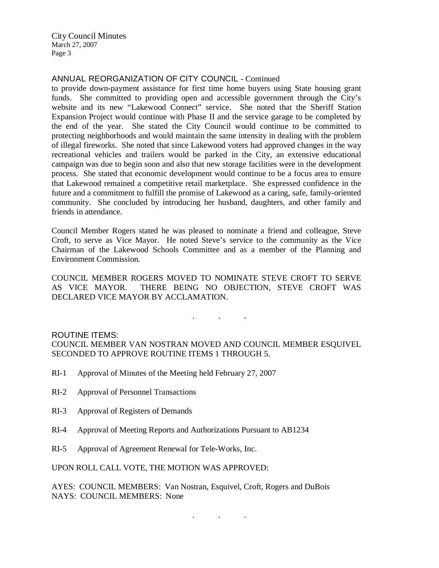City Council Minutes March 27, 2007 Page 3

### ANNUAL REORGANIZATION OF CITY COUNCIL - Continued

to provide down-payment assistance for first time home buyers using State housing grant funds. She committed to providing open and accessible government through the City's website and its new "Lakewood Connect" service. She noted that the Sheriff Station Expansion Project would continue with Phase II and the service garage to be completed by the end of the year. She stated the City Council would continue to be committed to protecting neighborhoods and would maintain the same intensity in dealing with the problem of illegal fireworks. She noted that since Lakewood voters had approved changes in the way recreational vehicles and trailers would be parked in the City, an extensive educational campaign was due to begin soon and also that new storage facilities were in the development process. She stated that economic development would continue to be a focus area to ensure that Lakewood remained a competitive retail marketplace. She expressed confidence in the future and a commitment to fulfill the promise of Lakewood as a caring, safe, family-oriented community. She concluded by introducing her husband, daughters, and other family and friends in attendance.

Council Member Rogers stated he was pleased to nominate a friend and colleague, Steve Croft, to serve as Vice Mayor. He noted Steve's service to the community as the Vice Chairman of the Lakewood Schools Committee and as a member of the Planning and Environment Commission.

COUNCIL MEMBER ROGERS MOVED TO NOMINATE STEVE CROFT TO SERVE AS VICE MAYOR. THERE BEING NO OBJECTION, STEVE CROFT WAS DECLARED VICE MAYOR BY ACCLAMATION.

. . .

#### ROUTINE ITEMS:

COUNCIL MEMBER VAN NOSTRAN MOVED AND COUNCIL MEMBER ESQUIVEL SECONDED TO APPROVE ROUTINE ITEMS 1 THROUGH 5.

- RI-1 Approval of Minutes of the Meeting held February 27, 2007
- RI-2 Approval of Personnel Transactions
- RI-3 Approval of Registers of Demands
- RI-4 Approval of Meeting Reports and Authorizations Pursuant to AB1234
- RI-5 Approval of Agreement Renewal for Tele-Works, Inc.

UPON ROLL CALL VOTE, THE MOTION WAS APPROVED:

AYES: COUNCIL MEMBERS: Van Nostran, Esquivel, Croft, Rogers and DuBois NAYS: COUNCIL MEMBERS: None

. . .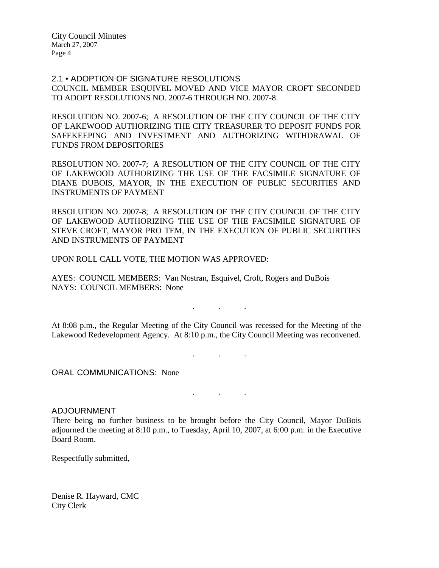City Council Minutes March 27, 2007 Page 4

2.1 • ADOPTION OF SIGNATURE RESOLUTIONS COUNCIL MEMBER ESQUIVEL MOVED AND VICE MAYOR CROFT SECONDED TO ADOPT RESOLUTIONS NO. 2007-6 THROUGH NO. 2007-8.

RESOLUTION NO. 2007-6; A RESOLUTION OF THE CITY COUNCIL OF THE CITY OF LAKEWOOD AUTHORIZING THE CITY TREASURER TO DEPOSIT FUNDS FOR SAFEKEEPING AND INVESTMENT AND AUTHORIZING WITHDRAWAL OF FUNDS FROM DEPOSITORIES

RESOLUTION NO. 2007-7; A RESOLUTION OF THE CITY COUNCIL OF THE CITY OF LAKEWOOD AUTHORIZING THE USE OF THE FACSIMILE SIGNATURE OF DIANE DUBOIS, MAYOR, IN THE EXECUTION OF PUBLIC SECURITIES AND INSTRUMENTS OF PAYMENT

RESOLUTION NO. 2007-8; A RESOLUTION OF THE CITY COUNCIL OF THE CITY OF LAKEWOOD AUTHORIZING THE USE OF THE FACSIMILE SIGNATURE OF STEVE CROFT, MAYOR PRO TEM, IN THE EXECUTION OF PUBLIC SECURITIES AND INSTRUMENTS OF PAYMENT

UPON ROLL CALL VOTE, THE MOTION WAS APPROVED:

AYES: COUNCIL MEMBERS: Van Nostran, Esquivel, Croft, Rogers and DuBois NAYS: COUNCIL MEMBERS: None

At 8:08 p.m., the Regular Meeting of the City Council was recessed for the Meeting of the Lakewood Redevelopment Agency. At 8:10 p.m., the City Council Meeting was reconvened.

. . .

. . .

. . .

ORAL COMMUNICATIONS: None

#### ADJOURNMENT

There being no further business to be brought before the City Council, Mayor DuBois adjourned the meeting at 8:10 p.m., to Tuesday, April 10, 2007, at 6:00 p.m. in the Executive Board Room.

Respectfully submitted,

Denise R. Hayward, CMC City Clerk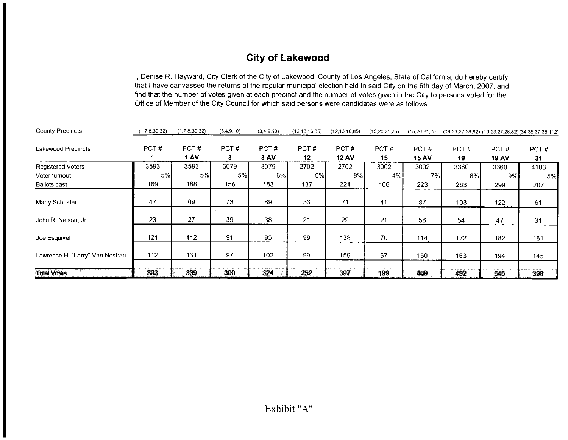## **City of Lakewood**

I, Denise R. Hayward, City Clerk of the City of Lakewood, County of Los Angeles, State of California, do hereby certify that I have canvassed the returns of the regular municipal election held in said City on the 6th day of March, 2007, and find that the number of votes given at each precinct and the number of votes given in the City to persons voted for the Office of Member of the City Council for which said persons were candidates were as follows:

| <b>County Precincts</b>        | (1,7,8,30,32) | (1,7,8,30,32) | (3,4,9,10) | (3,4,9,10)   | (12, 13, 16, 85) | (12, 13, 16, 85)     | (15, 20, 21, 25) | (15, 20, 21, 25)     | (19, 23, 27, 28, 82) (19, 23, 27, 28, 82) (34, 35, 37, 38, 112) |                      |            |
|--------------------------------|---------------|---------------|------------|--------------|------------------|----------------------|------------------|----------------------|-----------------------------------------------------------------|----------------------|------------|
| Lakewood Precincts             | PCT#          | PCT#<br>1 AV  | PCT#<br>3. | PCT#<br>3 AV | PCT#<br>12       | PCT#<br><b>12 AV</b> | PCT#<br>15       | PCT#<br><b>15 AV</b> | PCT#<br>19                                                      | PCT#<br><b>19 AV</b> | PCT#<br>31 |
| <b>Registered Voters</b>       | 3593          | 3593          | 3079       | 3079         | 2702             | 2702                 | 3002             | 3002                 | 3360                                                            | 3360                 | 4103       |
| Voter turnout                  | 5%            | 5%            | 5%         | 6%I          | 5%               | 8%I                  | 4%               | 7%                   | 8%I                                                             | 9%I                  | 5%         |
| <b>Ballots cast</b>            | 169           | 188           | 156        | 183          | 137              | 221                  | 106              | 223                  | 263                                                             | 299                  | 207        |
| Marty Schuster                 | 47            | 69            | 73         | 89           | 33               | 71                   | 41               | 87                   | 103                                                             | 122                  | 61         |
| John R. Nelson, Jr.            | 23            | 27            | 39         | 38           | 21               | 29                   | 21               | 58                   | 54                                                              | 47                   | 31         |
| Joe Esquivel                   | 121           | 112           | 91         | 95           | 99               | 138                  | 70               | 114                  | 172                                                             | 182                  | 161        |
| Lawrence H "Larry" Van Nostran | 112           | 131           | 97         | 102          | 99               | 159                  | 67               | 150                  | 163                                                             | 194                  | 145        |
| <b>Total Votes</b>             | 303           | 339           | 300        | 324          | 252              | 397                  | 199              | 409                  | 492                                                             | 545                  | 398        |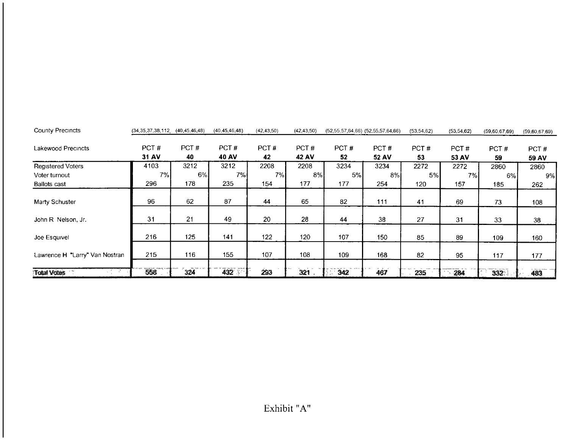| <b>County Precincts</b>        | $(34, 35, 37, 38, 112, (40, 45, 46, 48)$ |            | (40, 45, 46, 48) | (42, 43, 50) | (42, 43, 50)         | (52,55,57,64,66) (52,55,57,64,66) |               | (53, 54, 62) | (53, 54, 62)  | (59,60,67,69) | (59,60,67,69)        |
|--------------------------------|------------------------------------------|------------|------------------|--------------|----------------------|-----------------------------------|---------------|--------------|---------------|---------------|----------------------|
| Lakewood Precincts             | PCT#<br>31 AV                            | PCT#<br>40 | PCT#<br>40 AV    | PCT#<br>42   | PCT#<br><b>42 AV</b> | PCT#<br>52                        | PCT#<br>52 AV | PCT#<br>53   | PCT#<br>53 AV | PCT#<br>59    | PCT#<br><b>59 AV</b> |
| <b>Registered Voters</b>       | 4103                                     | 3212       | 3212             | 2208         | 2208                 | 3234                              | 3234          | 2272         | 2272          | 2860          | 2860                 |
| Voter turnout                  | 7%                                       | 6%         | 7%I              | 7%I          | 8%                   | 5%                                | 8%            | 5%           | 7%            | 6%            | 9%                   |
| <b>Ballots cast</b>            | 296                                      | 178        | 235              | 154          | 177                  | 177                               | 254           | 120          | 157           | 185           | 262                  |
| Marty Schuster                 | 96                                       | 62         | 87               | 44           | 65                   | 82                                | 111           | 41           | 69            | 73            | 108                  |
| John R Nelson, Jr.             | 31                                       | 21         | 49               | 20           | 28                   | 44                                | 38            | 27           | 31            | 33            | 38                   |
| Joe Esquivel                   | 216                                      | 125        | 141              | 122          | 120                  | 107                               | 150           | 85           | 89            | 109           | 160                  |
| Lawrence H "Larry" Van Nostran | 215                                      | 116        | 155              | 107          | 108                  | 109                               | 168           | 82           | 95            | 117           | 177                  |
| <b>Total Votes</b><br>$\sim$   | 558                                      | 324        | 432              | 293          | 321                  | 342                               | 467           | 235          | 284           | 332.          | 483                  |